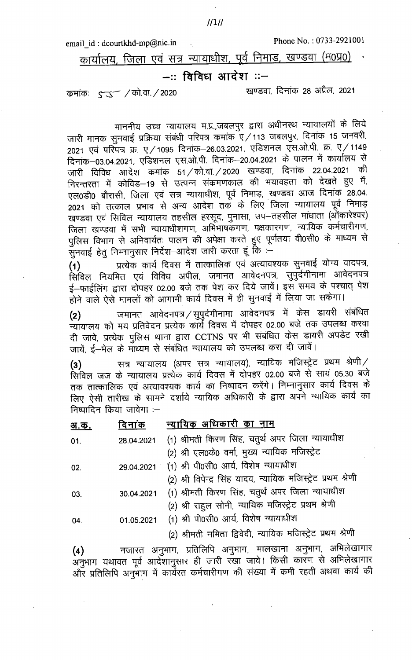email\_id: dcourtkhd-mp@nic.in

कार्यालय, जिला एवं सत्र न्यायाधीश, पूर्व निमाड, खण्डवा (म0प्र0)

## -:: विविध आदेश ::-

कमांकः 5 5 / को.वा. / 2020

खण्डवा, दिनांक 28 अप्रैल, 2021

माननीय उच्च न्यायालय म.प्र.,जबलपुर द्वारा अधीनस्थ न्यायालयों के लिये जारी मानक सुनवाई प्रक्रिया संबंधी परिपत्र कमांक ए/113 जबलपुर, दिनांक 15 जनवरी, 2021 एवं परिपत्र क्र. ए/1095 दिनांक–26.03.2021, एडिशनल एँस.ओ.पी. क्र. ए/1149 दिनांक-03.04.2021, एडिशनल एस.ओ.पी. दिनांक-20.04.2021 के पालन में कार्यालय से जारी विविध आदेश कमांक 51/को.वा./2020 खण्डवा, दिनांक 22.04.2021 की निरन्तरता में कोविड–19 से उत्पन्न संक्रमणकाल की भयावहता को देखते हुए मैं, एल0डी0 बौरासी, जिला एवं सत्र न्यायाधीश, पूर्व निमाड़, खण्डवा आज दिनांक 28.04. 2021 को तत्काल प्रभाव से अन्य आदेश तक के लिए जिला न्यायालय पूर्व निमाड़ खण्डवा एवं सिविल न्यायालय तहसील हरसूद, पुनासा, उप–तहसील माधाता (ओंकारेश्वर) जिला खण्डवा में सभी न्यायाधीशगण, अभिभाषकगण, पक्षकारगण, न्यायिक कर्मचारीगण, पुलिस विभाग से अनिवार्यतः पालन की अपेक्षा करते हुए पूर्णतया वी0सी0 के माध्यम से .<br>सुनवाई हेतु निम्नानुसार निर्देश–आदेश जारी करता हूं कि :–

प्रत्येक कार्य दिवस में तात्कालिक एवं अत्यावश्यक सुनवाई योग्य वादपत्र,  $(1)$ .<br>सिविल नियमित एवं विविध अपील, जमानत आवेदनपत्र, सुपुर्दगीनामा आवेदनपत्र ई–फाईलिंग द्वारा दोपहर 02.00 बजे तक पेश कर दिये जावें। इस समय के पश्चात् पेश होने वाले ऐसे मामलों को आगामी कार्य दिवस में ही सुनवाई में लिया जा सकेगा।

जमानत आवेदनपत्र / सुपुर्दगीनामा आवेदनपत्र में केस डायरी संबंधित  $(2)$ न्यायालय को मय प्रतिवेदन प्रत्येक कॉर्ये दिवस में दोपहर 02.00 बजे तक उपलब्ध करवा दी जावे, प्रत्येक पुलिस थाना द्वारा CCTNS पर भी संबंधित केस डायरी अपडेट रखी जायें, ई-मेल के माध्यम से संबंधित न्यायालय को उपलब्ध करा दी जावें।

सत्र न्यायालय (अपर सत्र न्यायालय), न्यायिक मजिस्ट्रेट प्रथम श्रेणी/  $(3)$ सिविल जज के न्यायालय प्रत्येक कार्य दिवस में दोपहर 02.00 बजे से सायं 05.30 बजे तक तात्कालिक एवं अत्यावश्यक कार्य का निष्पादन करेंगे। निम्नानुसार कार्य दिवस के लिए ऐसी तारीख के सामने दर्शाये न्यायिक अधिकारी के द्वारा अपने न्यायिक कार्य का निष्पादिन किया जावेगा :-

| अ.क | दिनाक | न्यायिक अधिकारी <u>का नाम</u> |
|-----|-------|-------------------------------|
|     |       |                               |

| 01. |            | 28.04.2021 (1) श्रीमती किरण सिंह, चतुर्थ अपर जिला न्यायाधीश   |
|-----|------------|---------------------------------------------------------------|
|     |            | (2) श्री एल0के0 वर्मा, मुख्य न्यायिक मजिस्ट्रेट               |
| 02. |            | 29.04.2021 (1) श्री पी0सी0 आर्य, विशेष न्यायाधीश              |
|     |            | (2) श्री विपेन्द्र सिंह यादव, न्यायिक मजिस्ट्रेट प्रथम श्रेणी |
| በ3  | 30.04.2021 | (1) श्रीमती किरण सिंह, चतुर्थ अपर जिला न्यायाधीश              |

- (2) श्री राहुल सोनी, न्यायिक मजिस्ट्रेट प्रथम श्रेणी
- (1) श्री पी0सी0 आर्य, विशेष न्यायाधीश 01.05.2021

04.

(2) श्रीमती नमिता द्विवेदी, न्यायिक मजिस्ट्रेट प्रथम श्रेणी

नजारत अनुभाग, प्रतिलिपि अनुभाग, मालखाना अनुभाग, अभिलेखागार  $(4)$ अनुभाग यथावत पूर्व आदेशानुसार ही जारी रखा जावे। किसी कारण से अभिलेखागार और प्रतिलिपि अनुभाग में कार्यरत कर्मचारीगण की संख्या में कमी रहती अथवा कार्य की